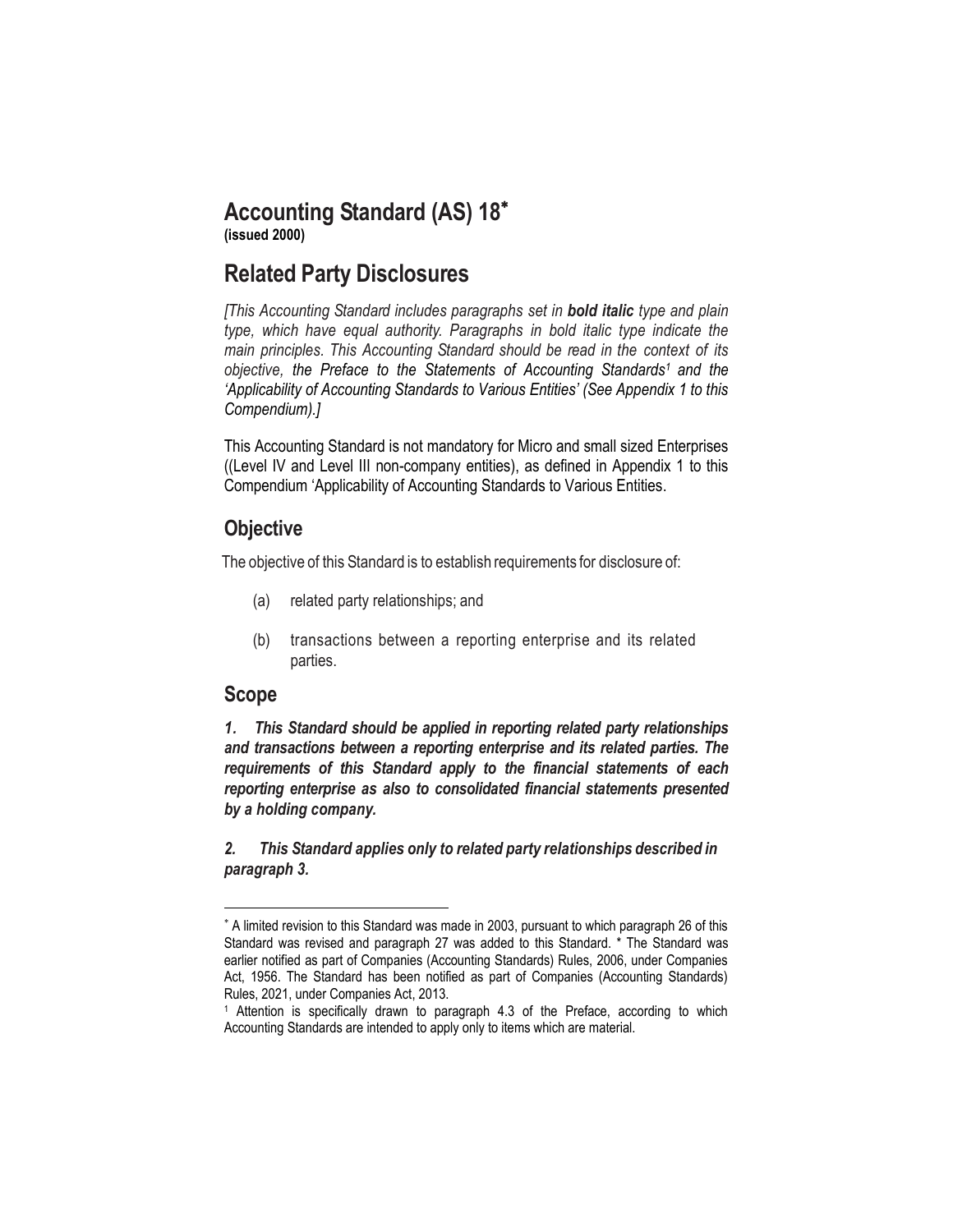# **Accounting Standard (AS) 18**

**(issued 2000)**

# **Related Party Disclosures**

*[This Accounting Standard includes paragraphs set in bold italic type and plain type, which have equal authority. Paragraphs in bold italic type indicate the main principles. This Accounting Standard should be read in the context of its objective, the Preface to the Statements of Accounting Standards<sup>1</sup> and the 'Applicability of Accounting Standards to Various Entities' (See Appendix 1 to this Compendium).]*

This Accounting Standard is not mandatory for Micro and small sized Enterprises ((Level IV and Level III non-company entities), as defined in Appendix 1 to this Compendium 'Applicability of Accounting Standards to Various Entities.

# **Objective**

The objective of this Standard is to establish requirements for disclosure of:

- (a) related party relationships; and
- (b) transactions between a reporting enterprise and its related parties.

# **Scope**

 $\overline{a}$ 

*1. This Standard should be applied in reporting related party relationships and transactions between a reporting enterprise and its related parties. The requirements of this Standard apply to the financial statements of each reporting enterprise as also to consolidated financial statements presented by a holding company.*

*2. This Standard applies only to related party relationships described in paragraph 3.*

A limited revision to this Standard was made in 2003, pursuant to which paragraph 26 of this Standard was revised and paragraph 27 was added to this Standard. \* The Standard was earlier notified as part of Companies (Accounting Standards) Rules, 2006, under Companies Act, 1956. The Standard has been notified as part of Companies (Accounting Standards) Rules, 2021, under Companies Act, 2013.

<sup>1</sup> Attention is specifically drawn to paragraph 4.3 of the Preface, according to which Accounting Standards are intended to apply only to items which are material.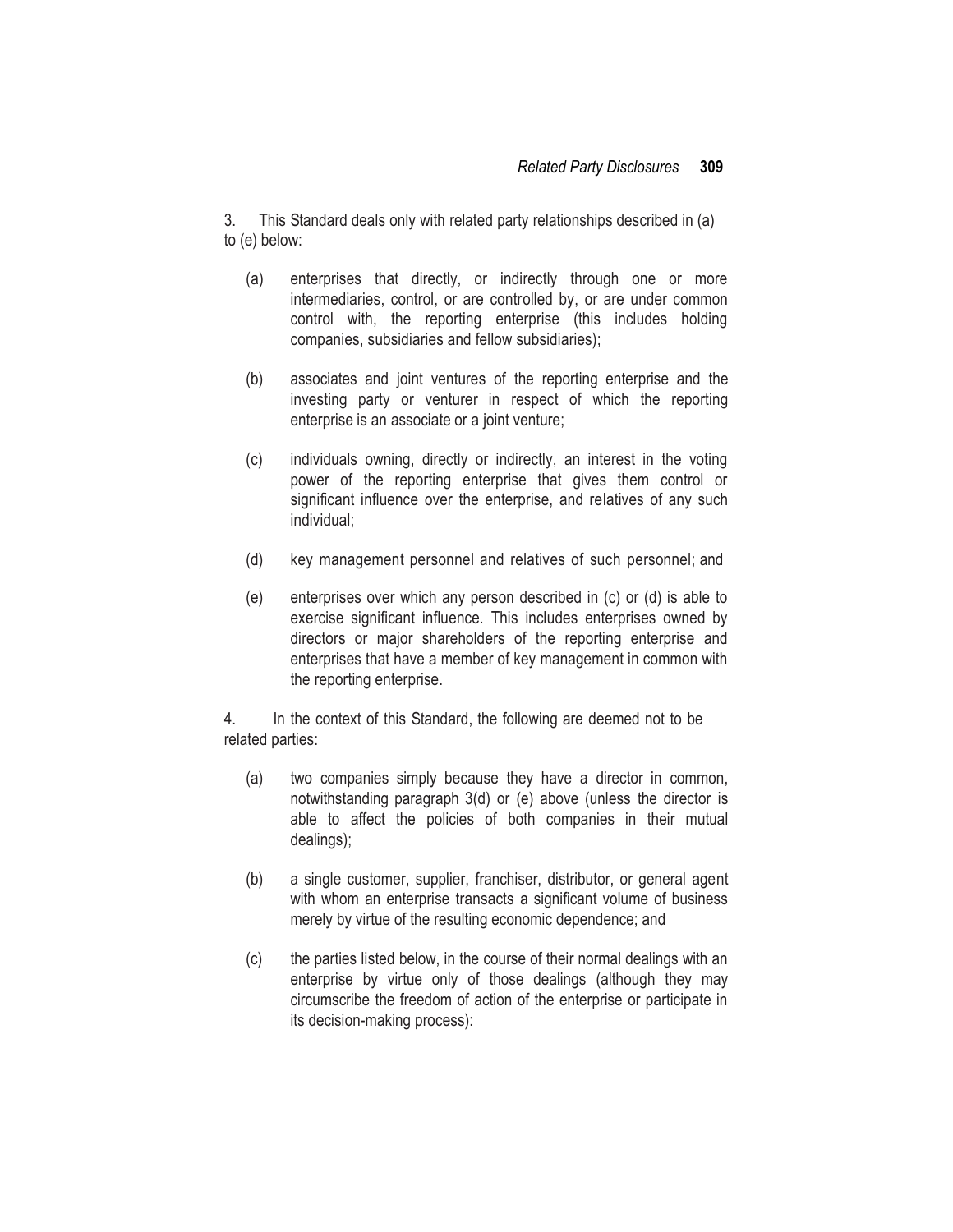3. This Standard deals only with related party relationships described in (a) to (e) below:

- (a) enterprises that directly, or indirectly through one or more intermediaries, control, or are controlled by, or are under common control with, the reporting enterprise (this includes holding companies, subsidiaries and fellow subsidiaries);
- (b) associates and joint ventures of the reporting enterprise and the investing party or venturer in respect of which the reporting enterprise is an associate or a joint venture;
- (c) individuals owning, directly or indirectly, an interest in the voting power of the reporting enterprise that gives them control or significant influence over the enterprise, and relatives of any such individual;
- (d) key management personnel and relatives of such personnel; and
- (e) enterprises over which any person described in (c) or (d) is able to exercise significant influence. This includes enterprises owned by directors or major shareholders of the reporting enterprise and enterprises that have a member of key management in common with the reporting enterprise.

4. In the context of this Standard, the following are deemed not to be related parties:

- (a) two companies simply because they have a director in common, notwithstanding paragraph 3(d) or (e) above (unless the director is able to affect the policies of both companies in their mutual dealings);
- (b) a single customer, supplier, franchiser, distributor, or general agent with whom an enterprise transacts a significant volume of business merely by virtue of the resulting economic dependence; and
- (c) the parties listed below, in the course of their normal dealings with an enterprise by virtue only of those dealings (although they may circumscribe the freedom of action of the enterprise or participate in its decision-making process):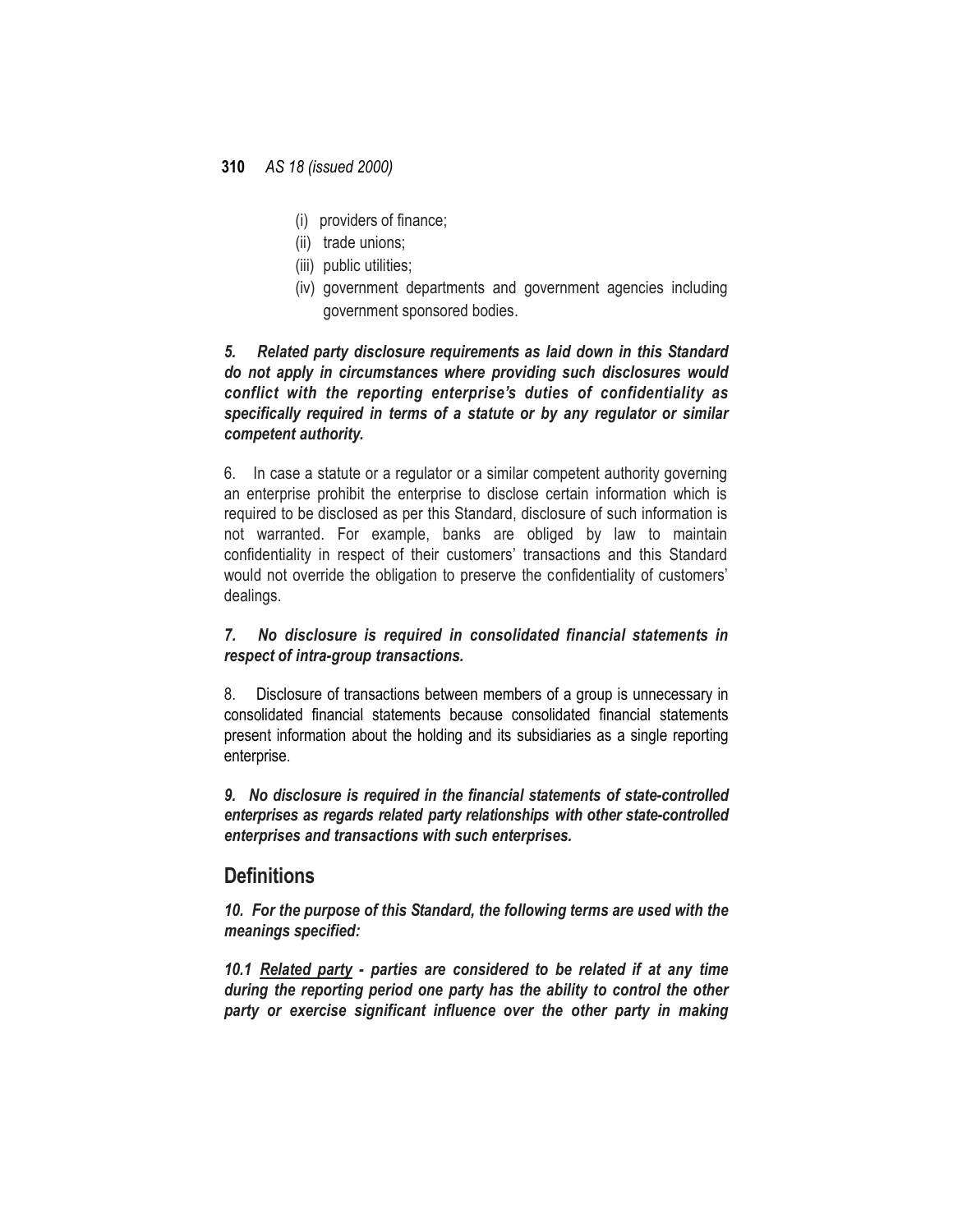- (i) providers of finance;
- (ii) trade unions:
- (iii) public utilities;
- (iv) government departments and government agencies including government sponsored bodies.

#### *5. Related party disclosure requirements as laid down in this Standard do not apply in circumstances where providing such disclosures would conflict with the reporting enterprise's duties of confidentiality as specifically required in terms of a statute or by any regulator or similar competent authority.*

6. In case a statute or a regulator or a similar competent authority governing an enterprise prohibit the enterprise to disclose certain information which is required to be disclosed as per this Standard, disclosure of such information is not warranted. For example, banks are obliged by law to maintain confidentiality in respect of their customers' transactions and this Standard would not override the obligation to preserve the confidentiality of customers' dealings.

### *7. No disclosure is required in consolidated financial statements in respect of intra-group transactions.*

8. Disclosure of transactions between members of a group is unnecessary in consolidated financial statements because consolidated financial statements present information about the holding and its subsidiaries as a single reporting enterprise.

*9. No disclosure is required in the financial statements of state-controlled enterprises as regards related party relationships with other state-controlled enterprises and transactions with such enterprises.*

# **Definitions**

*10. For the purpose of this Standard, the following terms are used with the meanings specified:*

*10.1 Related party - parties are considered to be related if at any time during the reporting period one party has the ability to control the other party or exercise significant influence over the other party in making*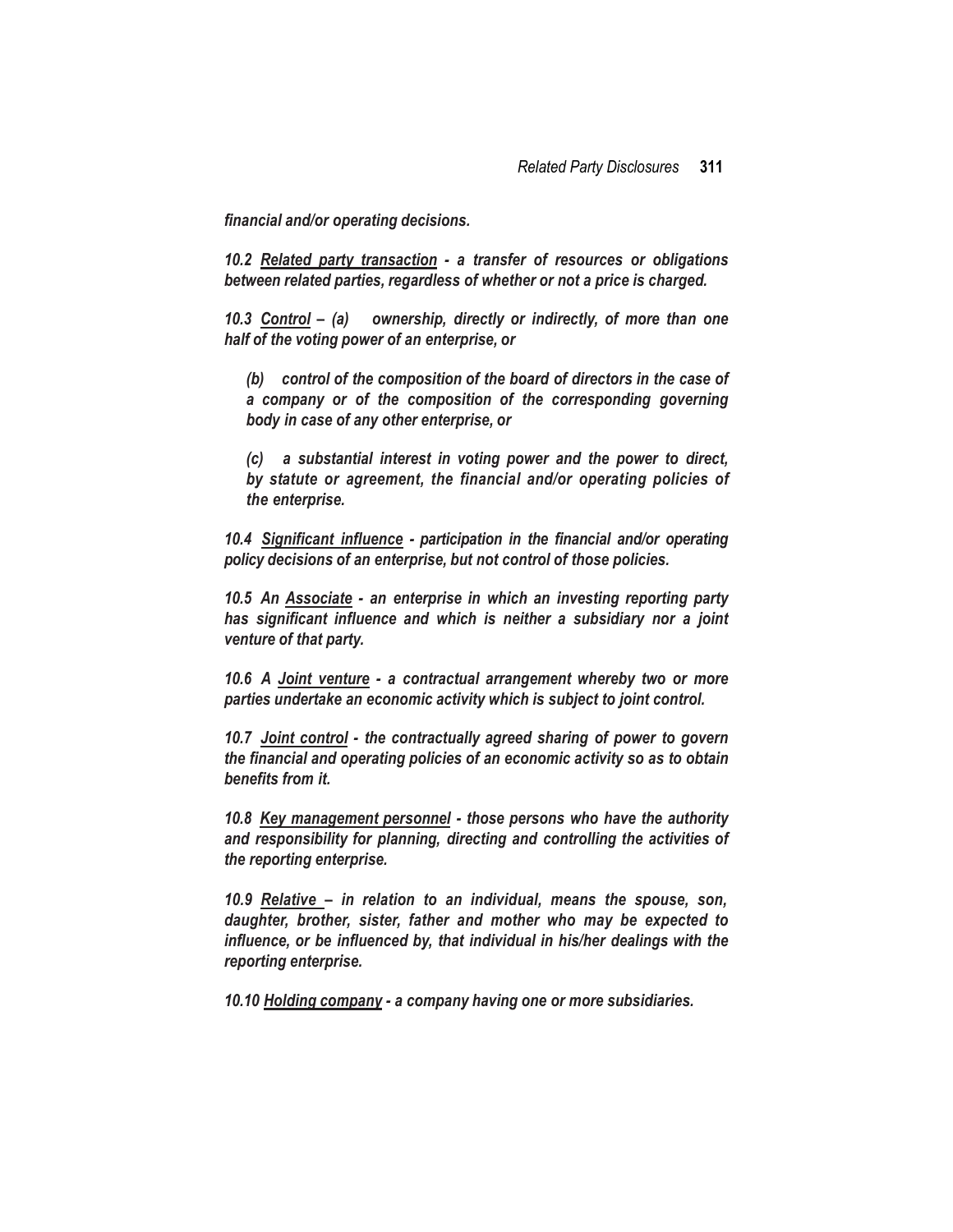*financial and/or operating decisions.*

*10.2 Related party transaction - a transfer of resources or obligations between related parties, regardless of whether or not a price is charged.*

*10.3 Control – (a) ownership, directly or indirectly, of more than one half of the voting power of an enterprise, or*

*(b) control of the composition of the board of directors in the case of a company or of the composition of the corresponding governing body in case of any other enterprise, or*

*(c) a substantial interest in voting power and the power to direct, by statute or agreement, the financial and/or operating policies of the enterprise.*

*10.4 Significant influence - participation in the financial and/or operating policy decisions of an enterprise, but not control of those policies.*

*10.5 An Associate - an enterprise in which an investing reporting party has significant influence and which is neither a subsidiary nor a joint venture of that party.*

*10.6 A Joint venture - a contractual arrangement whereby two or more parties undertake an economic activity which is subject to joint control.*

*10.7 Joint control - the contractually agreed sharing of power to govern the financial and operating policies of an economic activity so as to obtain benefits from it.*

*10.8 Key management personnel - those persons who have the authority and responsibility for planning, directing and controlling the activities of the reporting enterprise.*

*10.9 Relative – in relation to an individual, means the spouse, son, daughter, brother, sister, father and mother who may be expected to influence, or be influenced by, that individual in his/her dealings with the reporting enterprise.*

*10.10 Holding company - a company having one or more subsidiaries.*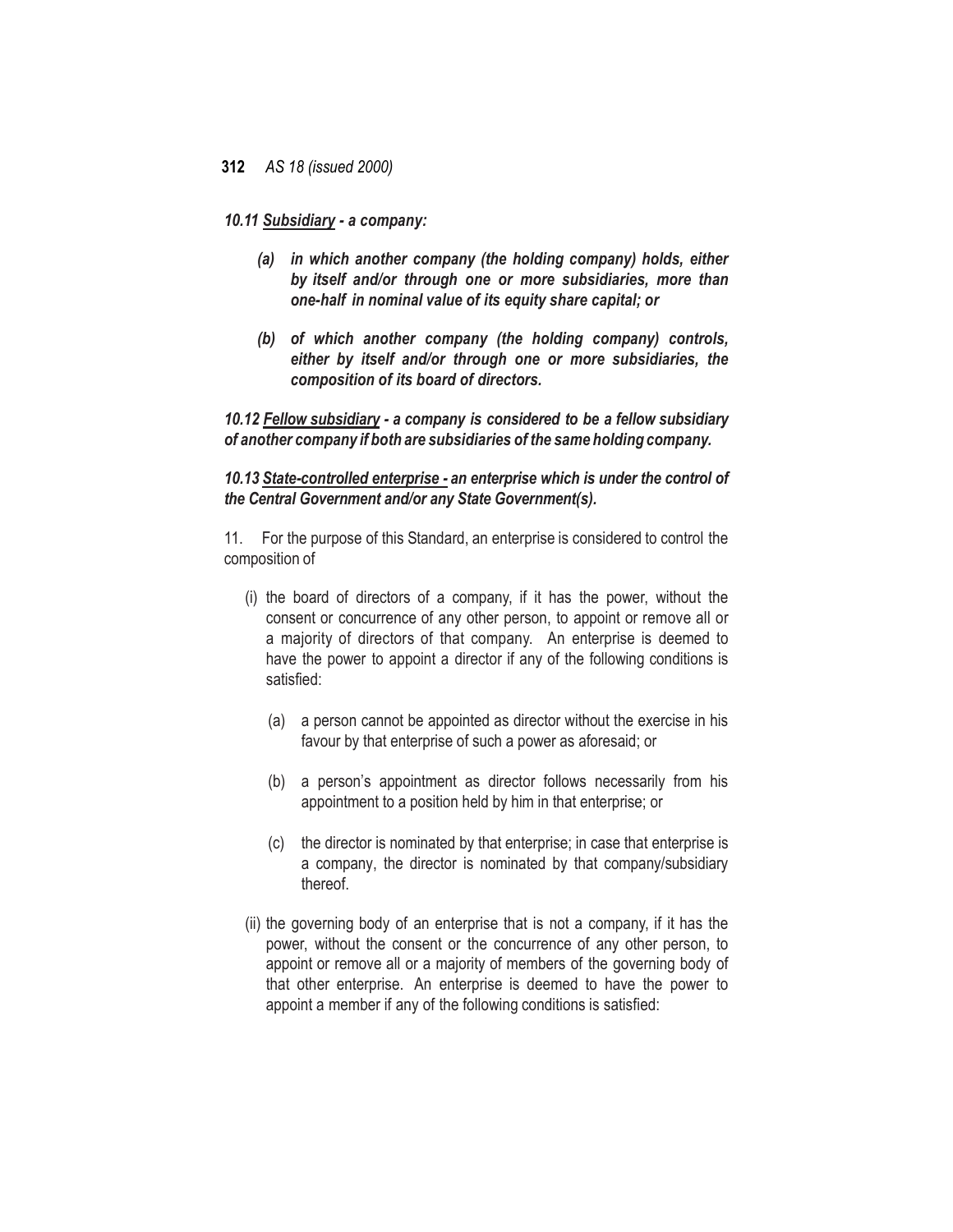#### *10.11 Subsidiary - a company:*

- *(a) in which another company (the holding company) holds, either by itself and/or through one or more subsidiaries, more than one-half in nominal value of its equity share capital; or*
- *(b) of which another company (the holding company) controls, either by itself and/or through one or more subsidiaries, the composition of its board of directors.*

*10.12 Fellow subsidiary - a company is considered to be a fellow subsidiary of another company if both are subsidiaries of the same holding company.*

#### *10.13 State-controlled enterprise - an enterprise which is under the control of the Central Government and/or any State Government(s).*

11. For the purpose of this Standard, an enterprise is considered to control the composition of

- (i) the board of directors of a company, if it has the power, without the consent or concurrence of any other person, to appoint or remove all or a majority of directors of that company. An enterprise is deemed to have the power to appoint a director if any of the following conditions is satisfied:
	- (a) a person cannot be appointed as director without the exercise in his favour by that enterprise of such a power as aforesaid; or
	- (b) a person's appointment as director follows necessarily from his appointment to a position held by him in that enterprise; or
	- (c) the director is nominated by that enterprise; in case that enterprise is a company, the director is nominated by that company/subsidiary thereof.
- (ii) the governing body of an enterprise that is not a company, if it has the power, without the consent or the concurrence of any other person, to appoint or remove all or a majority of members of the governing body of that other enterprise. An enterprise is deemed to have the power to appoint a member if any of the following conditions is satisfied: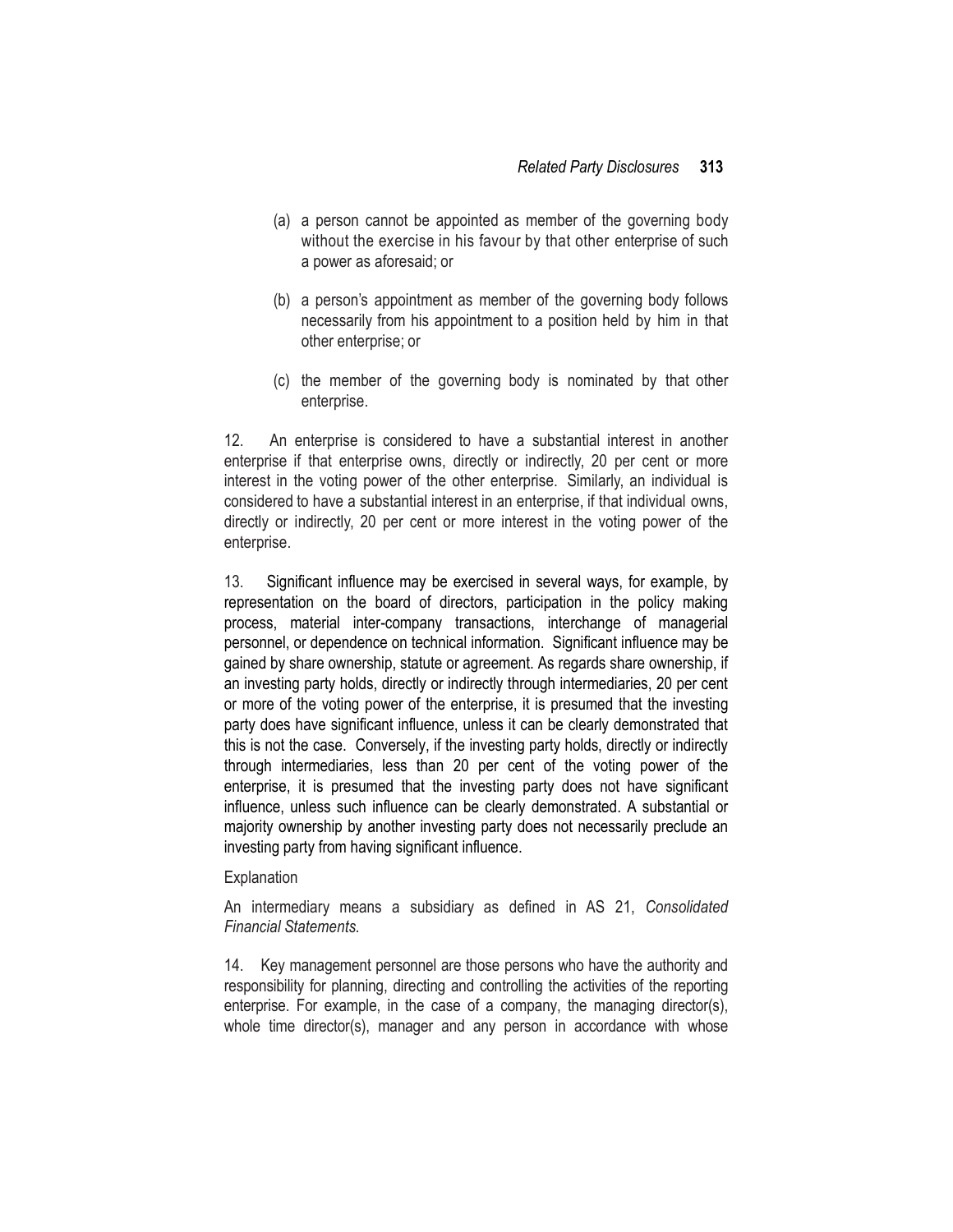- (a) a person cannot be appointed as member of the governing body without the exercise in his favour by that other enterprise of such a power as aforesaid; or
- (b) a person's appointment as member of the governing body follows necessarily from his appointment to a position held by him in that other enterprise; or
- (c) the member of the governing body is nominated by that other enterprise.

12. An enterprise is considered to have a substantial interest in another enterprise if that enterprise owns, directly or indirectly, 20 per cent or more interest in the voting power of the other enterprise. Similarly, an individual is considered to have a substantial interest in an enterprise, if that individual owns, directly or indirectly, 20 per cent or more interest in the voting power of the enterprise.

13. Significant influence may be exercised in several ways, for example, by representation on the board of directors, participation in the policy making process, material inter-company transactions, interchange of managerial personnel, or dependence on technical information. Significant influence may be gained by share ownership, statute or agreement. As regards share ownership, if an investing party holds, directly or indirectly through intermediaries, 20 per cent or more of the voting power of the enterprise, it is presumed that the investing party does have significant influence, unless it can be clearly demonstrated that this is not the case. Conversely, if the investing party holds, directly or indirectly through intermediaries, less than 20 per cent of the voting power of the enterprise, it is presumed that the investing party does not have significant influence, unless such influence can be clearly demonstrated. A substantial or majority ownership by another investing party does not necessarily preclude an investing party from having significant influence.

#### Explanation

An intermediary means a subsidiary as defined in AS 21, *Consolidated Financial Statements.*

14. Key management personnel are those persons who have the authority and responsibility for planning, directing and controlling the activities of the reporting enterprise. For example, in the case of a company, the managing director(s), whole time director(s), manager and any person in accordance with whose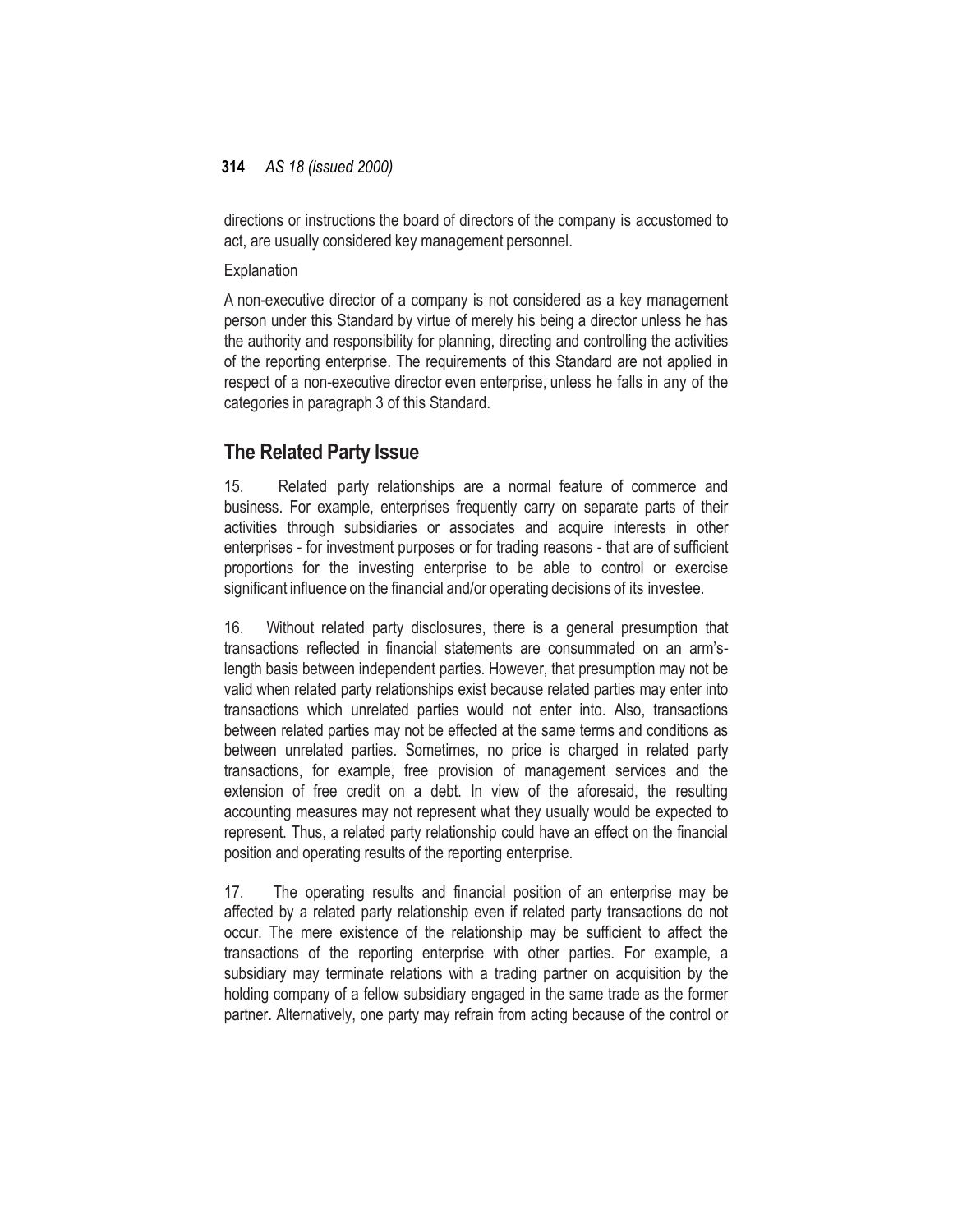directions or instructions the board of directors of the company is accustomed to act, are usually considered key management personnel.

**Explanation** 

A non-executive director of a company is not considered as a key management person under this Standard by virtue of merely his being a director unless he has the authority and responsibility for planning, directing and controlling the activities of the reporting enterprise. The requirements of this Standard are not applied in respect of a non-executive director even enterprise, unless he falls in any of the categories in paragraph 3 of this Standard.

# **The Related Party Issue**

15. Related party relationships are a normal feature of commerce and business. For example, enterprises frequently carry on separate parts of their activities through subsidiaries or associates and acquire interests in other enterprises - for investment purposes or for trading reasons - that are of sufficient proportions for the investing enterprise to be able to control or exercise significant influence on the financial and/or operating decisions of its investee.

16. Without related party disclosures, there is a general presumption that transactions reflected in financial statements are consummated on an arm'slength basis between independent parties. However, that presumption may not be valid when related party relationships exist because related parties may enter into transactions which unrelated parties would not enter into. Also, transactions between related parties may not be effected at the same terms and conditions as between unrelated parties. Sometimes, no price is charged in related party transactions, for example, free provision of management services and the extension of free credit on a debt. In view of the aforesaid, the resulting accounting measures may not represent what they usually would be expected to represent. Thus, a related party relationship could have an effect on the financial position and operating results of the reporting enterprise.

17. The operating results and financial position of an enterprise may be affected by a related party relationship even if related party transactions do not occur. The mere existence of the relationship may be sufficient to affect the transactions of the reporting enterprise with other parties. For example, a subsidiary may terminate relations with a trading partner on acquisition by the holding company of a fellow subsidiary engaged in the same trade as the former partner. Alternatively, one party may refrain from acting because of the control or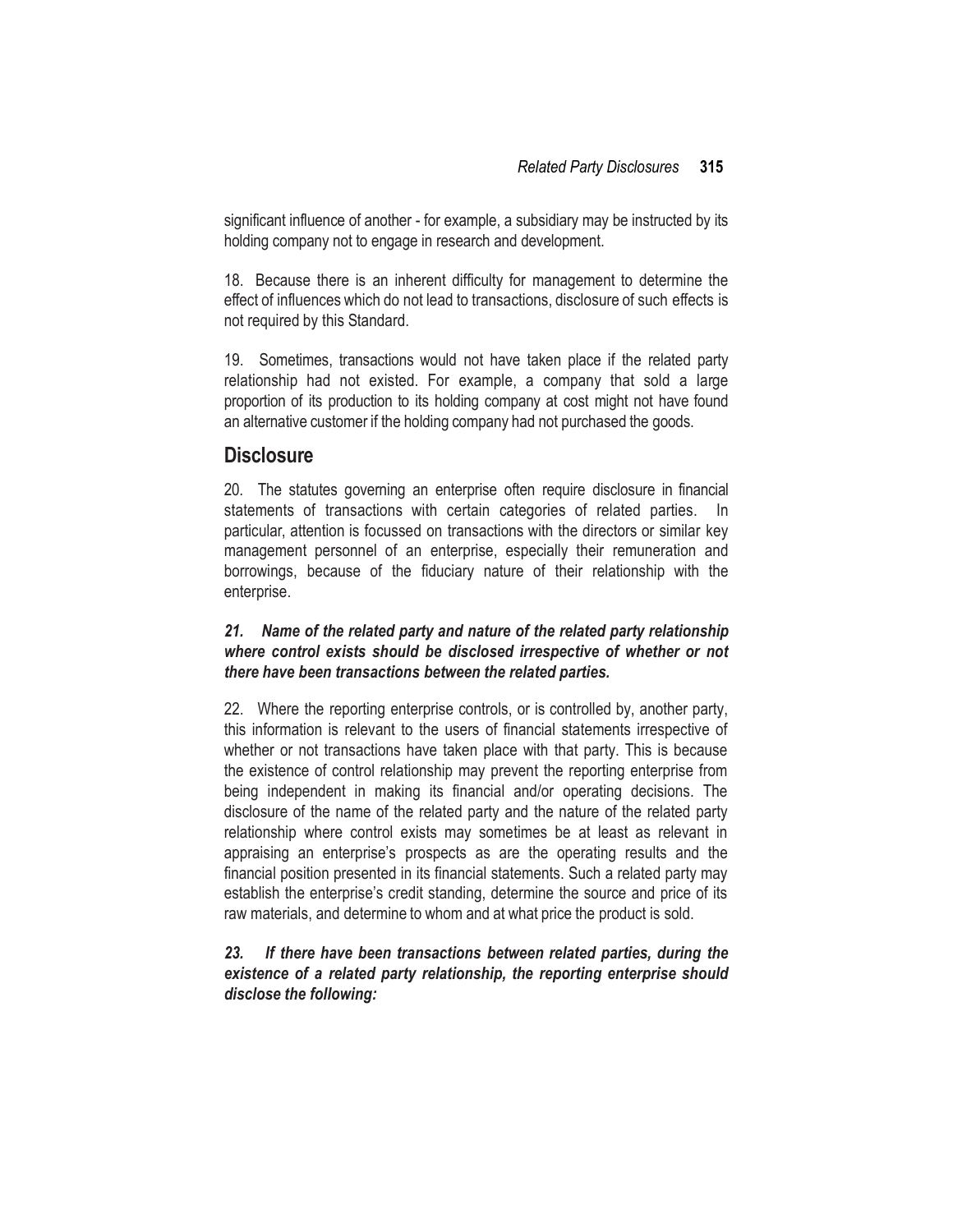significant influence of another - for example, a subsidiary may be instructed by its holding company not to engage in research and development.

18. Because there is an inherent difficulty for management to determine the effect of influences which do not lead to transactions, disclosure of such effects is not required by this Standard.

19. Sometimes, transactions would not have taken place if the related party relationship had not existed. For example, a company that sold a large proportion of its production to its holding company at cost might not have found an alternative customer if the holding company had not purchased the goods.

## **Disclosure**

20. The statutes governing an enterprise often require disclosure in financial statements of transactions with certain categories of related parties. In particular, attention is focussed on transactions with the directors or similar key management personnel of an enterprise, especially their remuneration and borrowings, because of the fiduciary nature of their relationship with the enterprise.

#### *21. Name of the related party and nature of the related party relationship where control exists should be disclosed irrespective of whether or not there have been transactions between the related parties.*

22. Where the reporting enterprise controls, or is controlled by, another party, this information is relevant to the users of financial statements irrespective of whether or not transactions have taken place with that party. This is because the existence of control relationship may prevent the reporting enterprise from being independent in making its financial and/or operating decisions. The disclosure of the name of the related party and the nature of the related party relationship where control exists may sometimes be at least as relevant in appraising an enterprise's prospects as are the operating results and the financial position presented in its financial statements. Such a related party may establish the enterprise's credit standing, determine the source and price of its raw materials, and determine to whom and at what price the product is sold.

#### *23. If there have been transactions between related parties, during the existence of a related party relationship, the reporting enterprise should disclose the following:*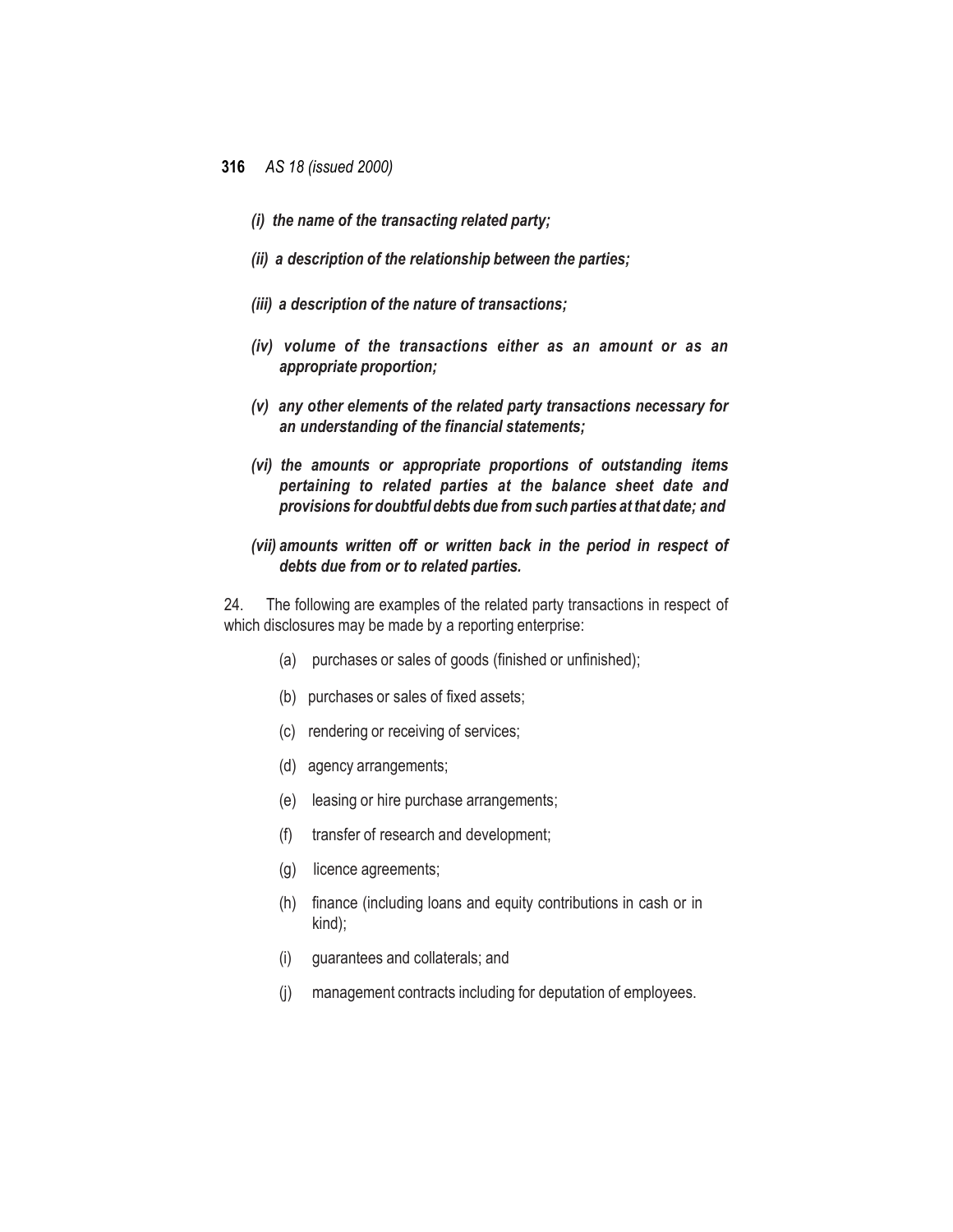- *(i) the name of the transacting related party;*
- *(ii) a description of the relationship between the parties;*
- *(iii) a description of the nature of transactions;*
- *(iv) volume of the transactions either as an amount or as an appropriate proportion;*
- *(v) any other elements of the related party transactions necessary for an understanding of the financial statements;*
- *(vi) the amounts or appropriate proportions of outstanding items pertaining to related parties at the balance sheet date and provisions for doubtful debts due from such parties at that date; and*
- *(vii) amounts written off or written back in the period in respect of debts due from or to related parties.*

24. The following are examples of the related party transactions in respect of which disclosures may be made by a reporting enterprise:

- (a) purchases or sales of goods (finished or unfinished);
- (b) purchases or sales of fixed assets;
- (c) rendering or receiving of services;
- (d) agency arrangements;
- (e) leasing or hire purchase arrangements;
- (f) transfer of research and development;
- (g) licence agreements;
- (h) finance (including loans and equity contributions in cash or in kind);
- (i) guarantees and collaterals; and
- (j) management contracts including for deputation of employees.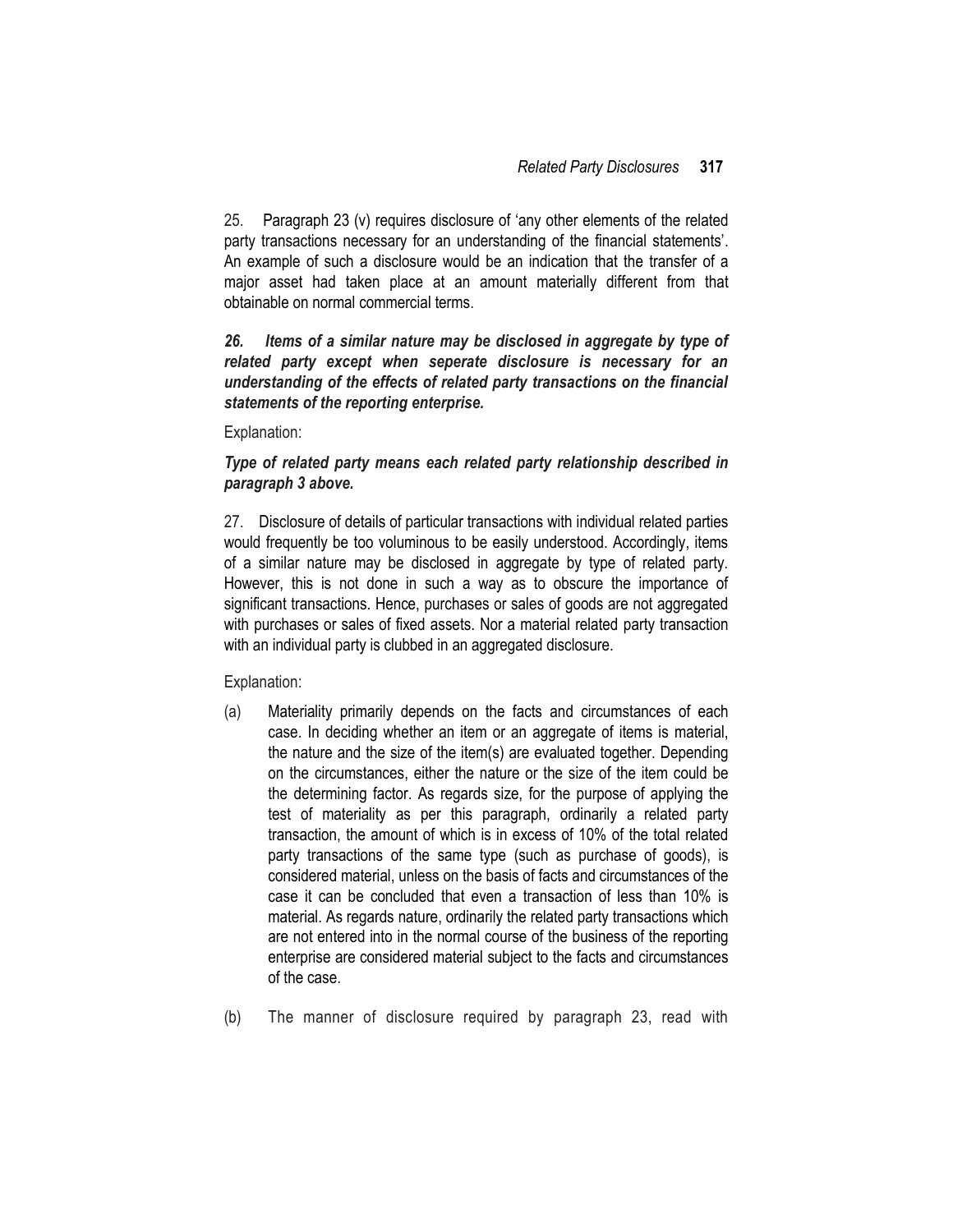25. Paragraph 23 (v) requires disclosure of 'any other elements of the related party transactions necessary for an understanding of the financial statements'. An example of such a disclosure would be an indication that the transfer of a major asset had taken place at an amount materially different from that obtainable on normal commercial terms.

*26. Items of a similar nature may be disclosed in aggregate by type of related party except when seperate disclosure is necessary for an understanding of the effects of related party transactions on the financial statements of the reporting enterprise.*

Explanation:

#### *Type of related party means each related party relationship described in paragraph 3 above.*

27. Disclosure of details of particular transactions with individual related parties would frequently be too voluminous to be easily understood. Accordingly, items of a similar nature may be disclosed in aggregate by type of related party. However, this is not done in such a way as to obscure the importance of significant transactions. Hence, purchases or sales of goods are not aggregated with purchases or sales of fixed assets. Nor a material related party transaction with an individual party is clubbed in an aggregated disclosure.

Explanation:

- (a) Materiality primarily depends on the facts and circumstances of each case. In deciding whether an item or an aggregate of items is material, the nature and the size of the item(s) are evaluated together. Depending on the circumstances, either the nature or the size of the item could be the determining factor. As regards size, for the purpose of applying the test of materiality as per this paragraph, ordinarily a related party transaction, the amount of which is in excess of 10% of the total related party transactions of the same type (such as purchase of goods), is considered material, unless on the basis of facts and circumstances of the case it can be concluded that even a transaction of less than 10% is material. As regards nature, ordinarily the related party transactions which are not entered into in the normal course of the business of the reporting enterprise are considered material subject to the facts and circumstances of the case.
- (b) The manner of disclosure required by paragraph 23, read with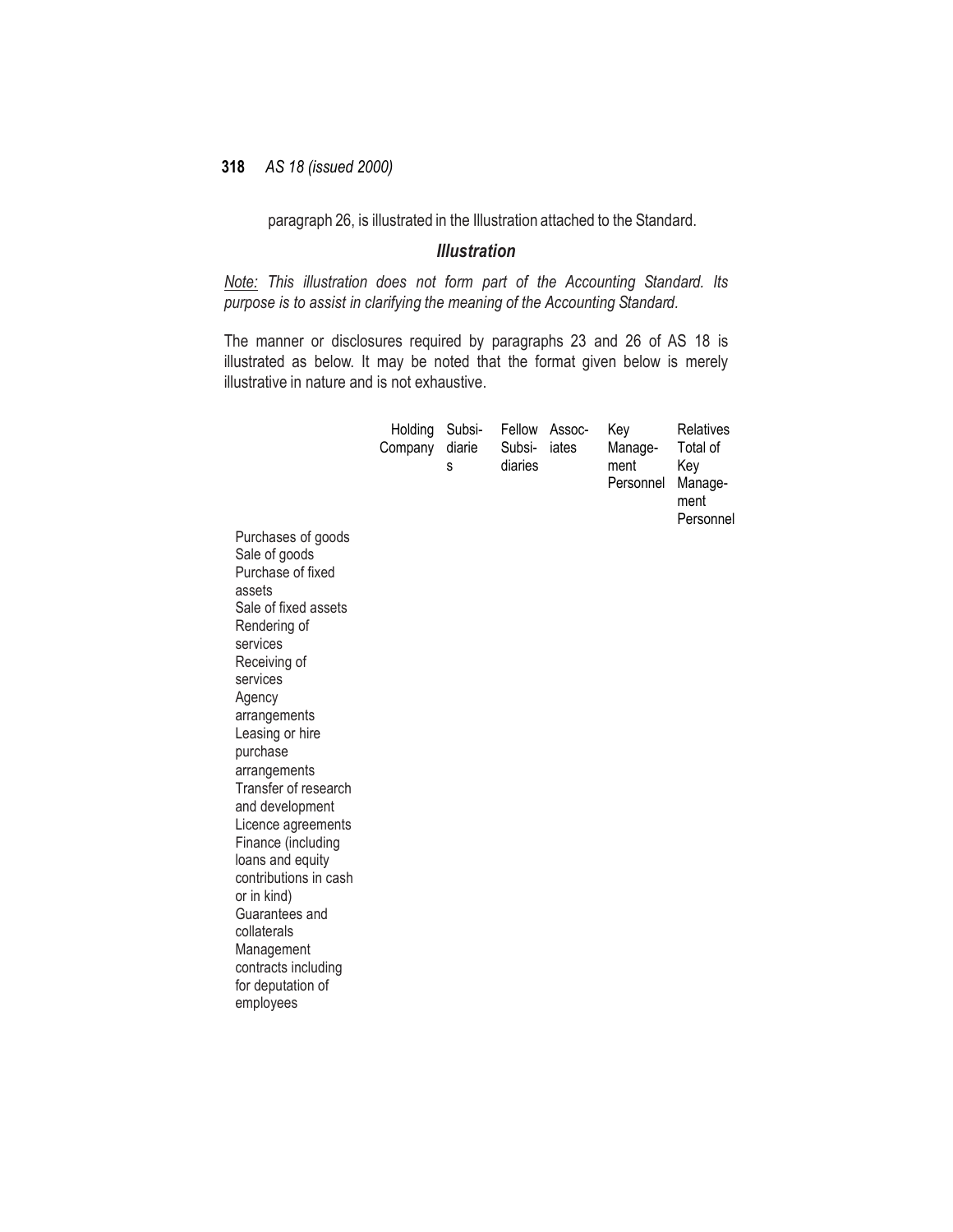paragraph 26, is illustrated in the Illustration attached to the Standard.

#### *Illustration*

*Note: This illustration does not form part of the Accounting Standard. Its purpose is to assist in clarifying the meaning of the Accounting Standard.*

The manner or disclosures required by paragraphs 23 and 26 of AS 18 is illustrated as below. It may be noted that the format given below is merely illustrative in nature and is not exhaustive.

|                                                               | Holding<br>Company | Subsi-<br>diarie<br>s | Fellow<br>Subsi-<br>diaries | Assoc-<br>iates | Key<br>Manage-<br>ment<br>Personnel | Relatives<br>Total of<br>Key<br>Manage-<br>ment<br>Personnel |
|---------------------------------------------------------------|--------------------|-----------------------|-----------------------------|-----------------|-------------------------------------|--------------------------------------------------------------|
| Purchases of goods<br>Sale of goods<br>Purchase of fixed      |                    |                       |                             |                 |                                     |                                                              |
| assets<br>Sale of fixed assets<br>Rendering of                |                    |                       |                             |                 |                                     |                                                              |
| services<br>Receiving of<br>services                          |                    |                       |                             |                 |                                     |                                                              |
| Agency<br>arrangements<br>Leasing or hire                     |                    |                       |                             |                 |                                     |                                                              |
| purchase<br>arrangements                                      |                    |                       |                             |                 |                                     |                                                              |
| Transfer of research<br>and development<br>Licence agreements |                    |                       |                             |                 |                                     |                                                              |
| Finance (including<br>loans and equity                        |                    |                       |                             |                 |                                     |                                                              |
| contributions in cash<br>or in kind)<br>Guarantees and        |                    |                       |                             |                 |                                     |                                                              |
| collaterals<br>Management                                     |                    |                       |                             |                 |                                     |                                                              |
| contracts including<br>for deputation of<br>employees         |                    |                       |                             |                 |                                     |                                                              |